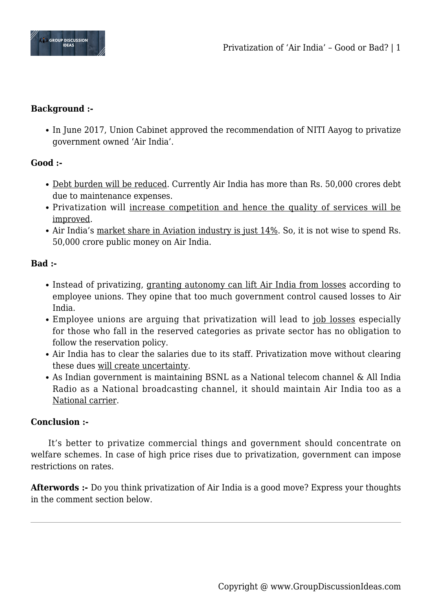

## **Background :-**

• In June 2017, Union Cabinet approved the recommendation of NITI Aayog to privatize government owned 'Air India'.

## **Good :-**

- Debt burden will be reduced. Currently Air India has more than Rs. 50,000 crores debt due to maintenance expenses.
- Privatization will increase competition and hence the quality of services will be improved.
- Air India's market share in Aviation industry is just 14%. So, it is not wise to spend Rs. 50,000 crore public money on Air India.

## **Bad :-**

- Instead of privatizing, granting autonomy can lift Air India from losses according to employee unions. They opine that too much government control caused losses to Air India.
- Employee unions are arguing that privatization will lead to *job losses* especially for those who fall in the reserved categories as private sector has no obligation to follow the reservation policy.
- Air India has to clear the salaries due to its staff. Privatization move without clearing these dues will create uncertainty.
- As Indian government is maintaining BSNL as a National telecom channel & All India Radio as a National broadcasting channel, it should maintain Air India too as a National carrier.

## **Conclusion :-**

It's better to privatize commercial things and government should concentrate on welfare schemes. In case of high price rises due to privatization, government can impose restrictions on rates.

**Afterwords :-** Do you think privatization of Air India is a good move? Express your thoughts in the comment section below.